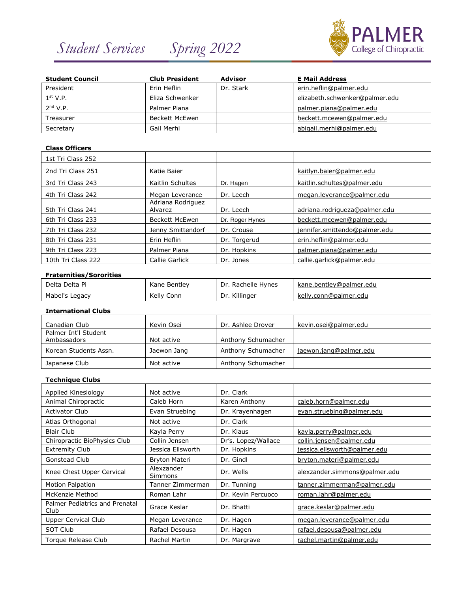# *Student Services Spring 2022*



| <b>Student Council</b> | <b>Club President</b> | Advisor   | <b>E Mail Address</b>          |
|------------------------|-----------------------|-----------|--------------------------------|
| President              | Erin Heflin           | Dr. Stark | erin.heflin@palmer.edu         |
| 1 <sup>st</sup> V.P.   | Eliza Schwenker       |           | elizabeth.schwenker@palmer.edu |
| $2nd$ V.P.             | Palmer Piana          |           | palmer.piana@palmer.edu        |
| Treasurer              | Beckett McEwen        |           | beckett.mcewen@palmer.edu      |
| Secretary              | Gail Merhi            |           | abigail.merhi@palmer.edu       |

# **Class Officers**

| 1st Tri Class 252  |                              |                 |                               |
|--------------------|------------------------------|-----------------|-------------------------------|
| 2nd Tri Class 251  | Katie Baier                  |                 | kaitlyn.baier@palmer.edu      |
| 3rd Tri Class 243  | Kaitlin Schultes             | Dr. Hagen       | kaitlin.schultes@palmer.edu   |
| 4th Tri Class 242  | Megan Leverance              | Dr. Leech       | megan.leverance@palmer.edu    |
| 5th Tri Class 241  | Adriana Rodriguez<br>Alvarez | Dr. Leech       | adriana.rodrigueza@palmer.edu |
| 6th Tri Class 233  | <b>Beckett McEwen</b>        | Dr. Roger Hynes | beckett.mcewen@palmer.edu     |
| 7th Tri Class 232  | Jenny Smittendorf            | Dr. Crouse      | jennifer.smittendo@palmer.edu |
| 8th Tri Class 231  | Erin Heflin                  | Dr. Torgerud    | erin.heflin@palmer.edu        |
| 9th Tri Class 223  | Palmer Piana                 | Dr. Hopkins     | palmer.piana@palmer.edu       |
| 10th Tri Class 222 | Callie Garlick               | Dr. Jones       | callie.garlick@palmer.edu     |

#### **Fraternities/Sororities**

| Delta Delta Pi | Kane Bentlev | Dr.<br>. Rachelle Hynes | kane.bentley@palmer.edu   |
|----------------|--------------|-------------------------|---------------------------|
| Mabel's Legacy | Kelly Conn   | Killinger<br>Dr.        | kelly<br>conn@palmer.edu/ |

### **International Clubs**

| Canadian Club                       | Kevin Osei  | Dr. Ashlee Drover  | kevin.osei@palmer.edu  |
|-------------------------------------|-------------|--------------------|------------------------|
| Palmer Int'l Student<br>Ambassadors | Not active  | Anthony Schumacher |                        |
| Korean Students Assn.               | Jaewon Jang | Anthony Schumacher | jaewon.jang@palmer.edu |
| Japanese Club                       | Not active  | Anthony Schumacher |                        |

#### **Technique Clubs**

| Not active            | Dr. Clark           |                               |
|-----------------------|---------------------|-------------------------------|
| Caleb Horn            | Karen Anthony       | caleb.horn@palmer.edu         |
| Evan Struebing        | Dr. Krayenhagen     | evan.struebing@palmer.edu     |
| Not active            | Dr. Clark           |                               |
| Kayla Perry           | Dr. Klaus           | kayla.perry@palmer.edu        |
| Collin Jensen         | Dr's. Lopez/Wallace | collin.jensen@palmer.edu      |
| Jessica Ellsworth     | Dr. Hopkins         | jessica.ellsworth@palmer.edu  |
| <b>Bryton Materi</b>  | Dr. Gindl           | bryton.materi@palmer.edu      |
| Alexzander<br>Simmons | Dr. Wells           | alexzander.simmons@palmer.edu |
| Tanner Zimmerman      | Dr. Tunning         | tanner.zimmerman@palmer.edu   |
| Roman Lahr            | Dr. Kevin Percuoco  | roman.lahr@palmer.edu         |
| Grace Keslar          | Dr. Bhatti          | grace.keslar@palmer.edu       |
| Megan Leverance       | Dr. Hagen           | megan.leverance@palmer.edu    |
| Rafael Desousa        | Dr. Hagen           | rafael.desousa@palmer.edu     |
| Rachel Martin         | Dr. Margrave        | rachel.martin@palmer.edu      |
|                       |                     |                               |